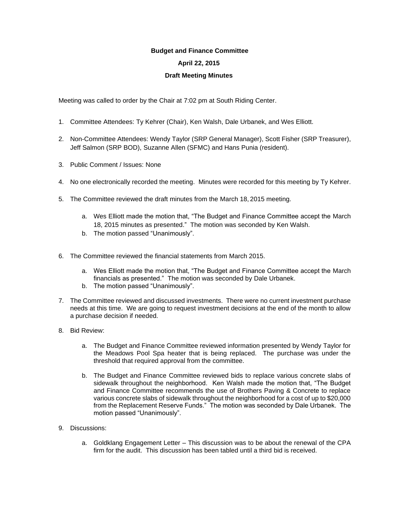## **Budget and Finance Committee**

## **April 22, 2015**

## **Draft Meeting Minutes**

Meeting was called to order by the Chair at 7:02 pm at South Riding Center.

- 1. Committee Attendees: Ty Kehrer (Chair), Ken Walsh, Dale Urbanek, and Wes Elliott.
- 2. Non-Committee Attendees: Wendy Taylor (SRP General Manager), Scott Fisher (SRP Treasurer), Jeff Salmon (SRP BOD), Suzanne Allen (SFMC) and Hans Punia (resident).
- 3. Public Comment / Issues: None
- 4. No one electronically recorded the meeting. Minutes were recorded for this meeting by Ty Kehrer.
- 5. The Committee reviewed the draft minutes from the March 18, 2015 meeting.
	- a. Wes Elliott made the motion that, "The Budget and Finance Committee accept the March 18, 2015 minutes as presented." The motion was seconded by Ken Walsh.
	- b. The motion passed "Unanimously".
- 6. The Committee reviewed the financial statements from March 2015.
	- a. Wes Elliott made the motion that, "The Budget and Finance Committee accept the March financials as presented." The motion was seconded by Dale Urbanek.
	- b. The motion passed "Unanimously".
- 7. The Committee reviewed and discussed investments. There were no current investment purchase needs at this time. We are going to request investment decisions at the end of the month to allow a purchase decision if needed.
- 8. Bid Review:
	- a. The Budget and Finance Committee reviewed information presented by Wendy Taylor for the Meadows Pool Spa heater that is being replaced. The purchase was under the threshold that required approval from the committee.
	- b. The Budget and Finance Committee reviewed bids to replace various concrete slabs of sidewalk throughout the neighborhood. Ken Walsh made the motion that, "The Budget and Finance Committee recommends the use of Brothers Paving & Concrete to replace various concrete slabs of sidewalk throughout the neighborhood for a cost of up to \$20,000 from the Replacement Reserve Funds." The motion was seconded by Dale Urbanek. The motion passed "Unanimously".
- 9. Discussions:
	- a. Goldklang Engagement Letter This discussion was to be about the renewal of the CPA firm for the audit. This discussion has been tabled until a third bid is received.